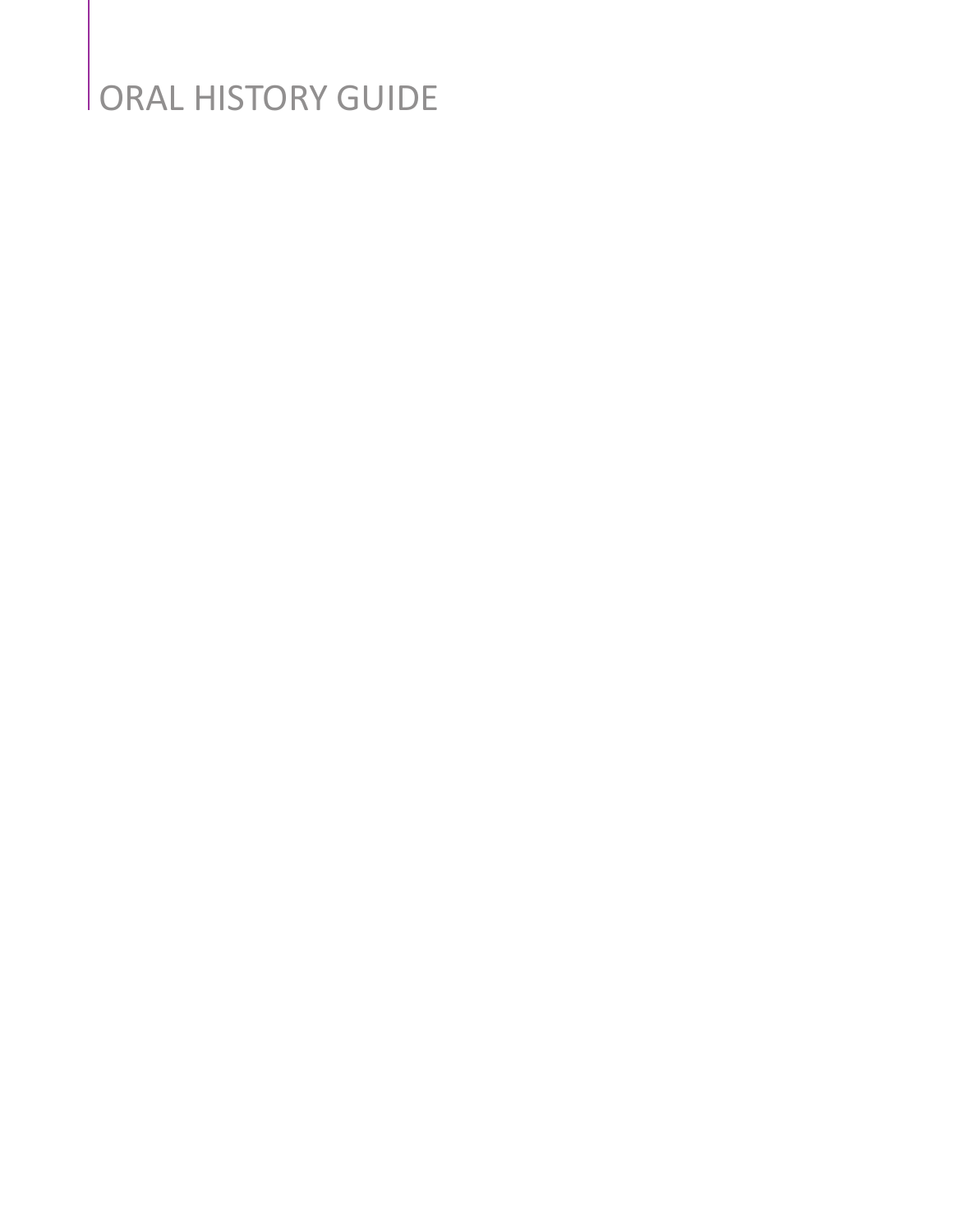## ORAL HISTORY GUIDE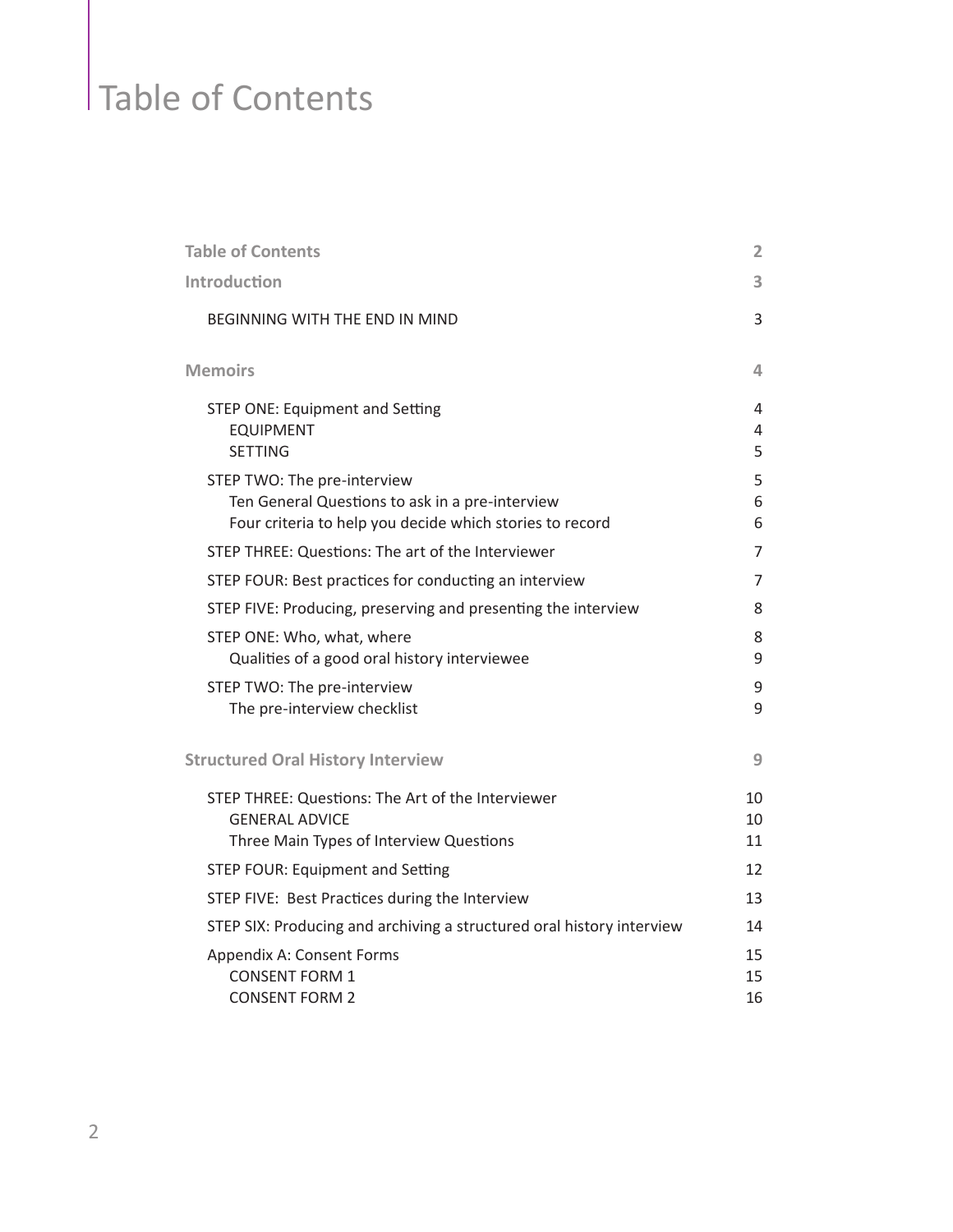## Table of Contents

| <b>Table of Contents</b>                                                                                                                   | $\overline{2}$ |
|--------------------------------------------------------------------------------------------------------------------------------------------|----------------|
| Introduction                                                                                                                               | 3              |
| <b>BEGINNING WITH THE END IN MIND</b>                                                                                                      | 3              |
| <b>Memoirs</b>                                                                                                                             | 4              |
| <b>STEP ONE: Equipment and Setting</b><br><b>EQUIPMENT</b><br><b>SETTING</b>                                                               | 4<br>4<br>5    |
| STEP TWO: The pre-interview<br>Ten General Questions to ask in a pre-interview<br>Four criteria to help you decide which stories to record | 5<br>6<br>6    |
| STEP THREE: Questions: The art of the Interviewer                                                                                          | $\overline{7}$ |
| STEP FOUR: Best practices for conducting an interview                                                                                      | 7              |
| STEP FIVE: Producing, preserving and presenting the interview                                                                              | 8              |
| STEP ONE: Who, what, where<br>Qualities of a good oral history interviewee                                                                 | 8<br>9         |
| STEP TWO: The pre-interview<br>The pre-interview checklist                                                                                 | 9<br>9         |
| <b>Structured Oral History Interview</b>                                                                                                   | 9              |
| STEP THREE: Questions: The Art of the Interviewer<br><b>GENERAL ADVICE</b><br>Three Main Types of Interview Questions                      | 10<br>10<br>11 |
| <b>STEP FOUR: Equipment and Setting</b>                                                                                                    | 12             |
| STEP FIVE: Best Practices during the Interview                                                                                             | 13             |
| STEP SIX: Producing and archiving a structured oral history interview                                                                      | 14             |
| Appendix A: Consent Forms<br><b>CONSENT FORM 1</b><br><b>CONSENT FORM 2</b>                                                                | 15<br>15<br>16 |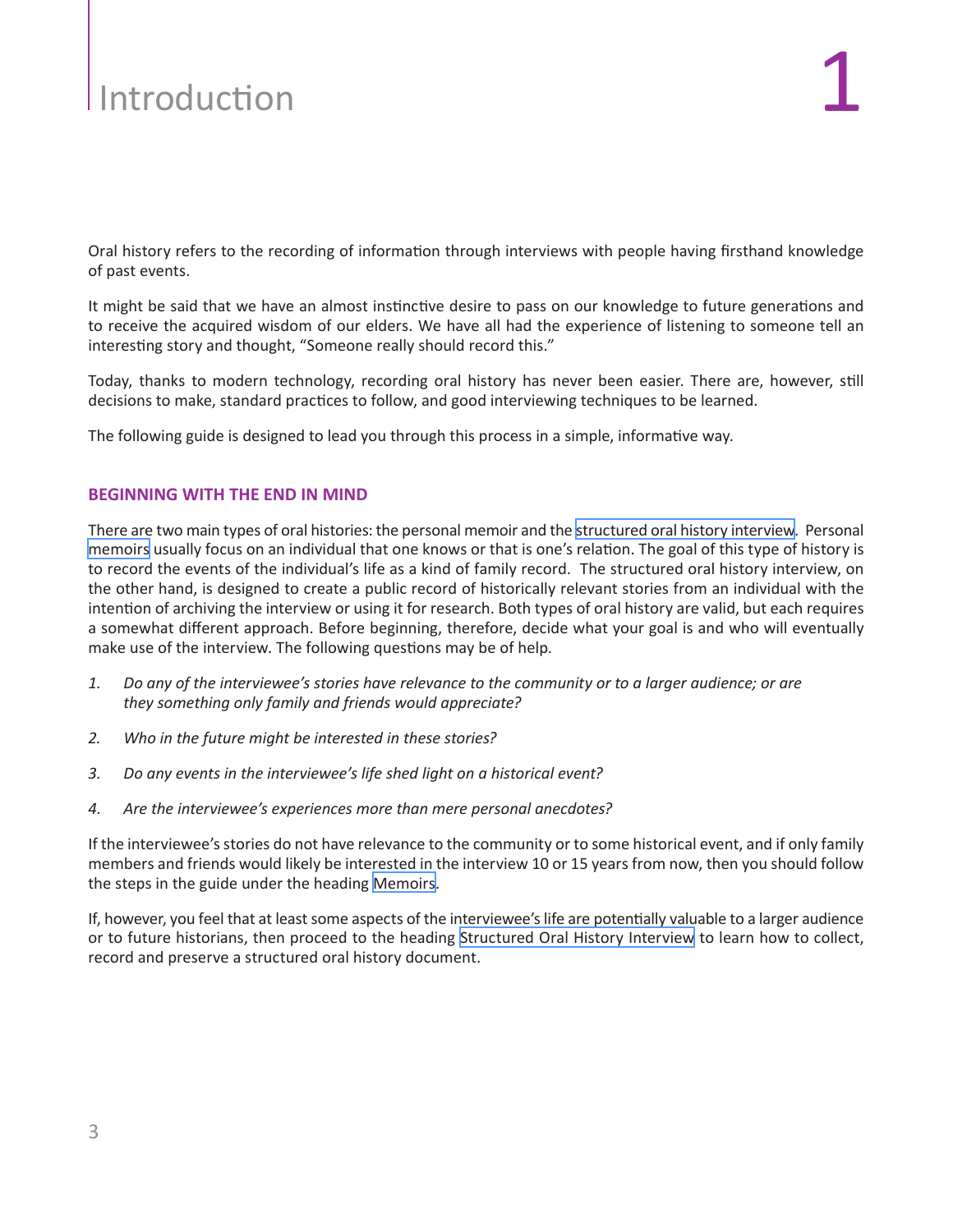# <span id="page-2-0"></span> $\blacksquare$

Oral history refers to the recording of information through interviews with people having firsthand knowledge of past events.

It might be said that we have an almost instinctive desire to pass on our knowledge to future generations and to receive the acquired wisdom of our elders. We have all had the experience of listening to someone tell an interesting story and thought, "Someone really should record this."

Today, thanks to modern technology, recording oral history has never been easier. There are, however, still decisions to make, standard practices to follow, and good interviewing techniques to be learned.

The following guide is designed to lead you through this process in a simple, informative way.

#### **BEGINNING WITH THE END IN MIND**

There are two main types of oral histories: the personal memoir and the [structured oral history interview.](#page-8-0) Personal [memoirs](#page-3-0) usually focus on an individual that one knows or that is one's relation. The goal of this type of history is to record the events of the individual's life as a kind of family record. The structured oral history interview, on the other hand, is designed to create a public record of historically relevant stories from an individual with the intention of archiving the interview or using it for research. Both types of oral history are valid, but each requires a somewhat different approach. Before beginning, therefore, decide what your goal is and who will eventually make use of the interview. The following questions may be of help.

- *1. Do any of the interviewee's stories have relevance to the community or to a larger audience; or are they something only family and friends would appreciate?*
- *2. Who in the future might be interested in these stories?*
- *3. Do any events in the interviewee's life shed light on a historical event?*
- *4. Are the interviewee's experiences more than mere personal anecdotes?*

If the interviewee's stories do not have relevance to the community or to some historical event, and if only family members and friends would likely be interested in the interview 10 or 15 years from now, then you should follow the steps in the guide under the heading [Memoirs.](#page-3-0)

If, however, you feel that at least some aspects of the interviewee's life are potentially valuable to a larger audience or to future historians, then proceed to the heading [Structured Oral History Interview](#page-8-0) to learn how to collect, record and preserve a structured oral history document.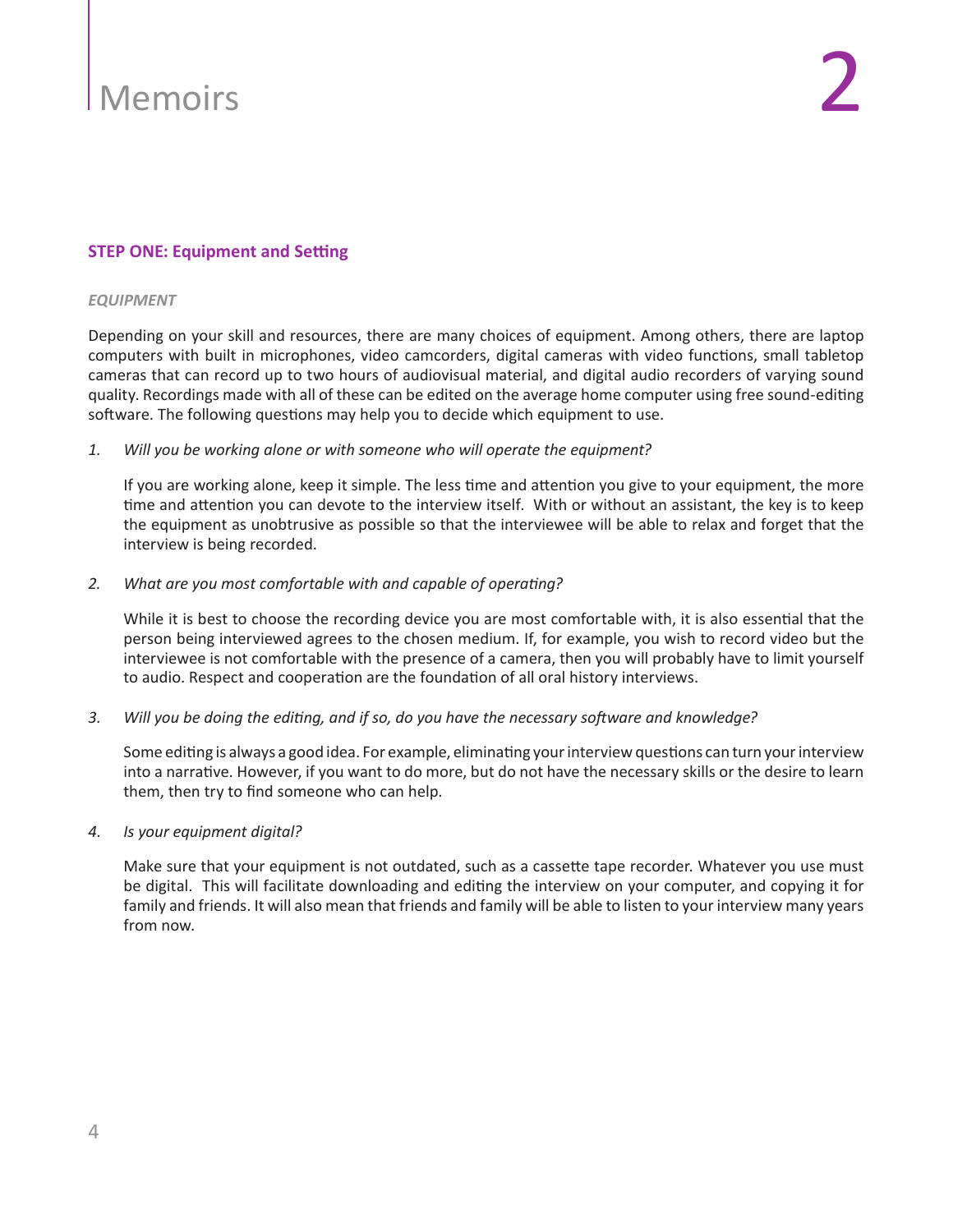#### <span id="page-3-0"></span>**STEP ONE: Equipment and Setting**

#### *EQUIPMENT*

Depending on your skill and resources, there are many choices of equipment. Among others, there are laptop computers with built in microphones, video camcorders, digital cameras with video functions, small tabletop cameras that can record up to two hours of audiovisual material, and digital audio recorders of varying sound quality. Recordings made with all of these can be edited on the average home computer using free sound-editing software. The following questions may help you to decide which equipment to use.

*1. Will you be working alone or with someone who will operate the equipment?* 

If you are working alone, keep it simple. The less time and attention you give to your equipment, the more time and attention you can devote to the interview itself. With or without an assistant, the key is to keep the equipment as unobtrusive as possible so that the interviewee will be able to relax and forget that the interview is being recorded.

#### *2. What are you most comfortable with and capable of operating?*

While it is best to choose the recording device you are most comfortable with, it is also essential that the person being interviewed agrees to the chosen medium. If, for example, you wish to record video but the interviewee is not comfortable with the presence of a camera, then you will probably have to limit yourself to audio. Respect and cooperation are the foundation of all oral history interviews.

*3. Will you be doing the editing, and if so, do you have the necessary software and knowledge?*

Some editing is always a good idea. For example, eliminating your interview questions can turn your interview into a narrative. However, if you want to do more, but do not have the necessary skills or the desire to learn them, then try to find someone who can help.

*4. Is your equipment digital?*

Make sure that your equipment is not outdated, such as a cassette tape recorder. Whatever you use must be digital. This will facilitate downloading and editing the interview on your computer, and copying it for family and friends. It will also mean that friends and family will be able to listen to your interview many years from now.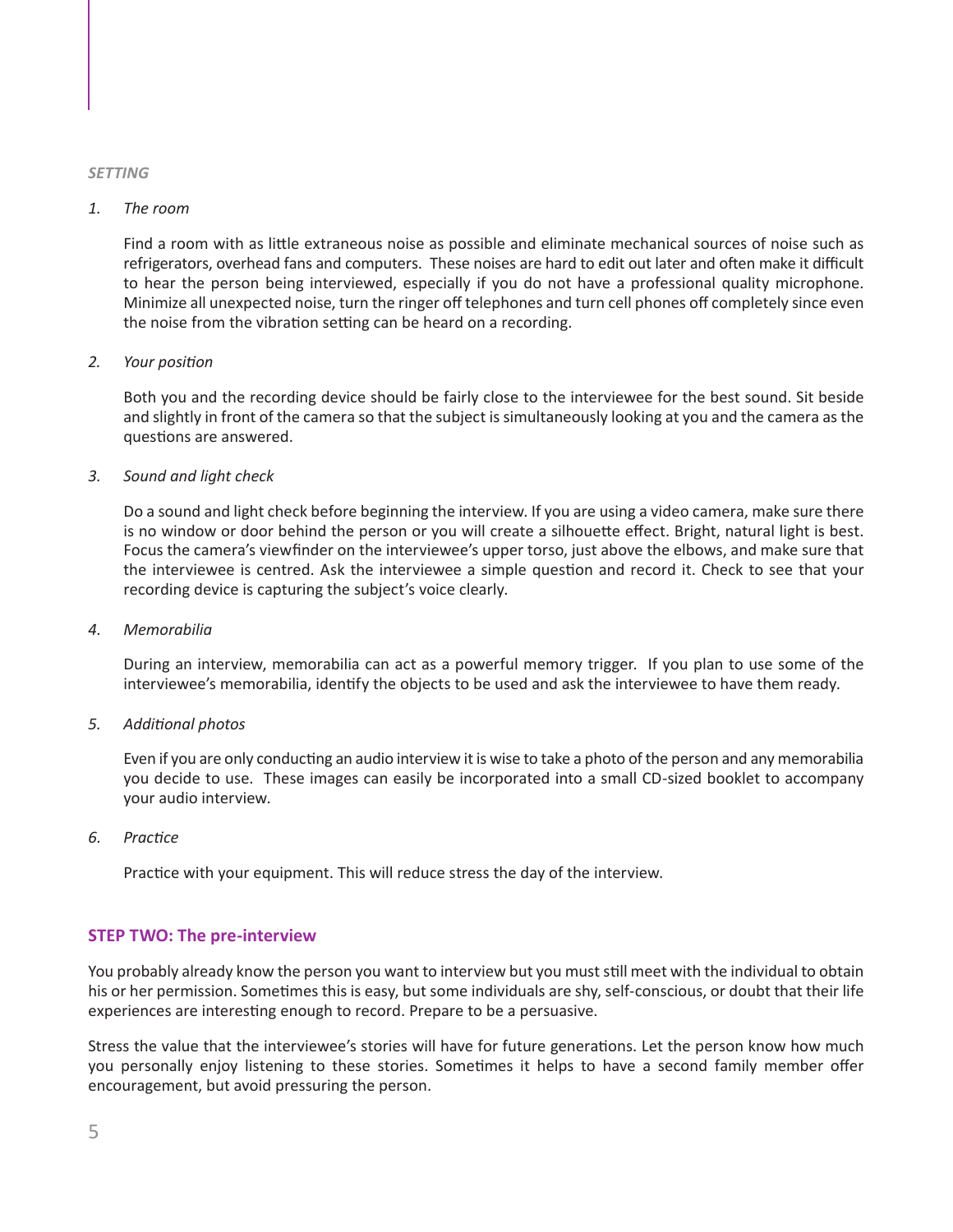#### <span id="page-4-0"></span>*SETTING*

#### *1. The room*

Find a room with as little extraneous noise as possible and eliminate mechanical sources of noise such as refrigerators, overhead fans and computers. These noises are hard to edit out later and often make it difficult to hear the person being interviewed, especially if you do not have a professional quality microphone. Minimize all unexpected noise, turn the ringer off telephones and turn cell phones off completely since even the noise from the vibration setting can be heard on a recording.

#### *2. Your position*

Both you and the recording device should be fairly close to the interviewee for the best sound. Sit beside and slightly in front of the camera so that the subject is simultaneously looking at you and the camera as the questions are answered.

#### *3. Sound and light check*

Do a sound and light check before beginning the interview. If you are using a video camera, make sure there is no window or door behind the person or you will create a silhouette effect. Bright, natural light is best. Focus the camera's viewfinder on the interviewee's upper torso, just above the elbows, and make sure that the interviewee is centred. Ask the interviewee a simple question and record it. Check to see that your recording device is capturing the subject's voice clearly.

#### *4. Memorabilia*

During an interview, memorabilia can act as a powerful memory trigger. If you plan to use some of the interviewee's memorabilia, identify the objects to be used and ask the interviewee to have them ready.

#### *5. Additional photos*

Even if you are only conducting an audio interview it is wise to take a photo of the person and any memorabilia you decide to use. These images can easily be incorporated into a small CD-sized booklet to accompany your audio interview.

*6. Practice*

Practice with your equipment. This will reduce stress the day of the interview.

#### **STEP TWO: The pre-interview**

You probably already know the person you want to interview but you must still meet with the individual to obtain his or her permission. Sometimes this is easy, but some individuals are shy, self-conscious, or doubt that their life experiences are interesting enough to record. Prepare to be a persuasive.

Stress the value that the interviewee's stories will have for future generations. Let the person know how much you personally enjoy listening to these stories. Sometimes it helps to have a second family member offer encouragement, but avoid pressuring the person.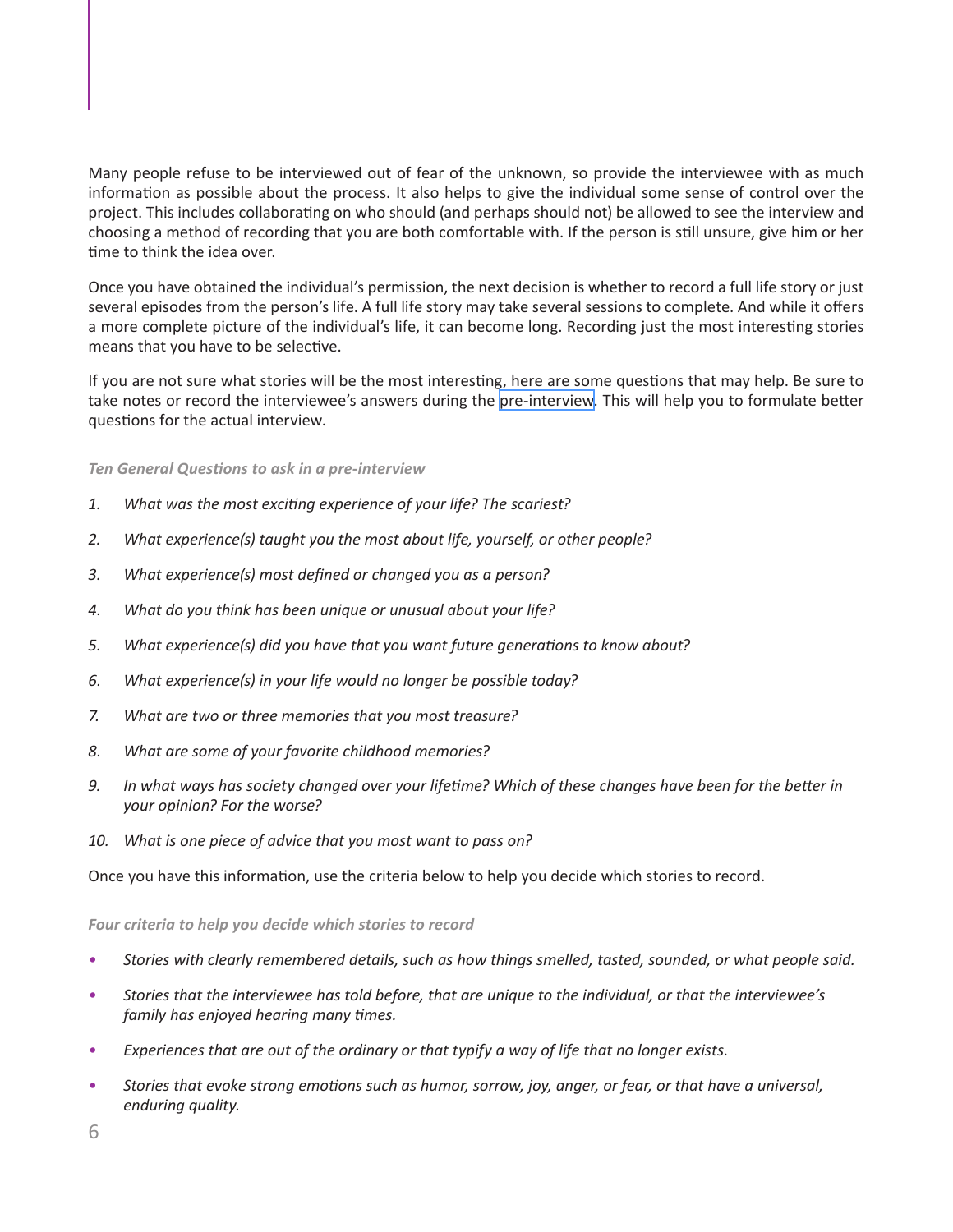<span id="page-5-0"></span>Many people refuse to be interviewed out of fear of the unknown, so provide the interviewee with as much information as possible about the process. It also helps to give the individual some sense of control over the project. This includes collaborating on who should (and perhaps should not) be allowed to see the interview and choosing a method of recording that you are both comfortable with. If the person is still unsure, give him or her time to think the idea over.

Once you have obtained the individual's permission, the next decision is whether to record a full life story or just several episodes from the person's life. A full life story may take several sessions to complete. And while it offers a more complete picture of the individual's life, it can become long. Recording just the most interesting stories means that you have to be selective.

If you are not sure what stories will be the most interesting, here are some questions that may help. Be sure to take notes or record the interviewee's answers during the [pre-interview](#page-4-0). This will help you to formulate better questions for the actual interview.

#### *Ten General Questions to ask in a pre-interview*

- *1. What was the most exciting experience of your life? The scariest?*
- *2. What experience(s) taught you the most about life, yourself, or other people?*
- *3. What experience(s) most defined or changed you as a person?*
- *4. What do you think has been unique or unusual about your life?*
- *5. What experience(s) did you have that you want future generations to know about?*
- *6. What experience(s) in your life would no longer be possible today?*
- *7. What are two or three memories that you most treasure?*
- *8. What are some of your favorite childhood memories?*
- 9. In what ways has society changed over your lifetime? Which of these changes have been for the better in *your opinion? For the worse?*
- *10. What is one piece of advice that you most want to pass on?*

Once you have this information, use the criteria below to help you decide which stories to record.

*Four criteria to help you decide which stories to record*

- *• Stories with clearly remembered details, such as how things smelled, tasted, sounded, or what people said.*
- Stories that the interviewee has told before, that are unique to the individual, or that the interviewee's  *family has enjoyed hearing many times.*
- *• Experiences that are out of the ordinary or that typify a way of life that no longer exists.*
- Stories that evoke strong emotions such as humor, sorrow, joy, anger, or fear, or that have a universal, *enduring quality.*

6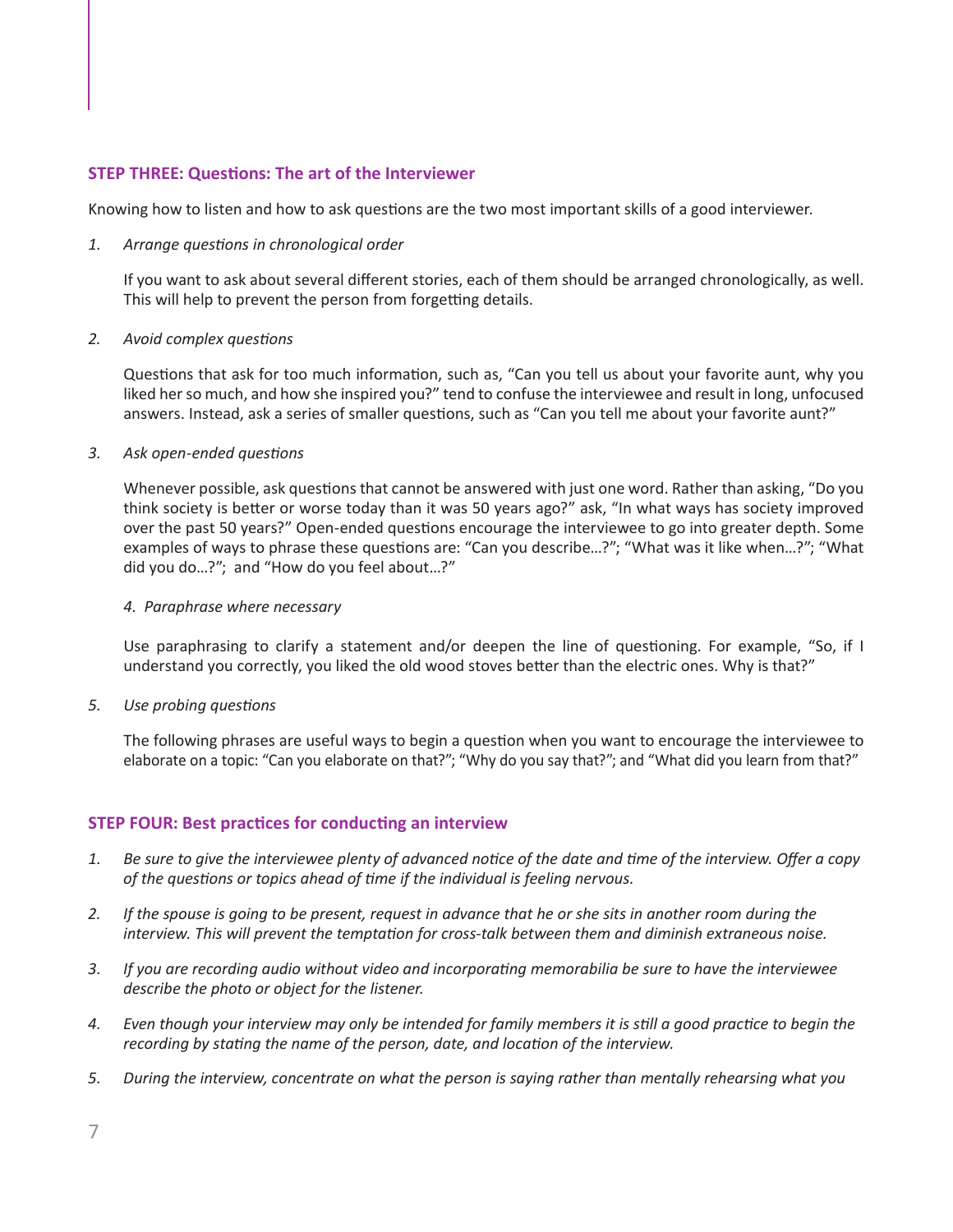#### <span id="page-6-0"></span>**STEP THREE: Questions: The art of the Interviewer**

Knowing how to listen and how to ask questions are the two most important skills of a good interviewer.

#### *1. Arrange questions in chronological order*

If you want to ask about several different stories, each of them should be arranged chronologically, as well. This will help to prevent the person from forgetting details.

#### *2. Avoid complex questions*

Questions that ask for too much information, such as, "Can you tell us about your favorite aunt, why you liked her so much, and how she inspired you?" tend to confuse the interviewee and result in long, unfocused answers. Instead, ask a series of smaller questions, such as "Can you tell me about your favorite aunt?"

#### *3. Ask open-ended questions*

Whenever possible, ask questions that cannot be answered with just one word. Rather than asking, "Do you think society is better or worse today than it was 50 years ago?" ask, "In what ways has society improved over the past 50 years?" Open-ended questions encourage the interviewee to go into greater depth. Some examples of ways to phrase these questions are: "Can you describe…?"; "What was it like when…?"; "What did you do…?"; and "How do you feel about…?"

#### *4. Paraphrase where necessary*

Use paraphrasing to clarify a statement and/or deepen the line of questioning. For example, "So, if I understand you correctly, you liked the old wood stoves better than the electric ones. Why is that?"

*5. Use probing questions*

The following phrases are useful ways to begin a question when you want to encourage the interviewee to elaborate on a topic: "Can you elaborate on that?"; "Why do you say that?"; and "What did you learn from that?"

#### **STEP FOUR: Best practices for conducting an interview**

- 1. Be sure to give the interviewee plenty of advanced notice of the date and time of the interview. Offer a copy  *of the questions or topics ahead of time if the individual is feeling nervous.*
- 2. If the spouse is going to be present, request in advance that he or she sits in another room during the  *interview. This will prevent the temptation for cross-talk between them and diminish extraneous noise.*
- *3. If you are recording audio without video and incorporating memorabilia be sure to have the interviewee describe the photo or object for the listener.*
- 4. Even though your interview may only be intended for family members it is still a good practice to begin the  *recording by stating the name of the person, date, and location of the interview.*
- *5. During the interview, concentrate on what the person is saying rather than mentally rehearsing what you*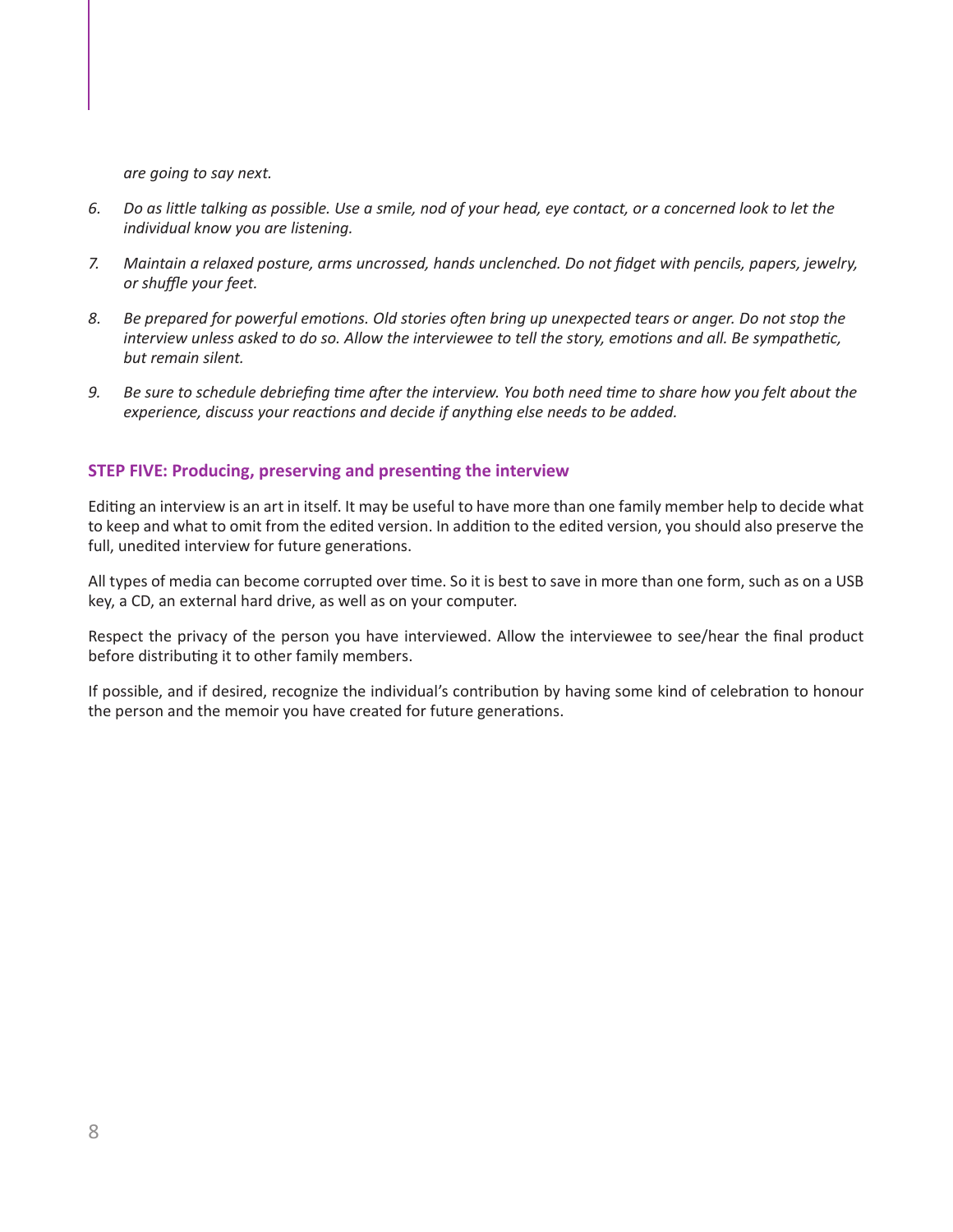<span id="page-7-0"></span>*are going to say next.*

- 6. Do as little talking as possible. Use a smile, nod of your head, eye contact, or a concerned look to let the *individual know you are listening.*
- *7. Maintain a relaxed posture, arms uncrossed, hands unclenched. Do not fidget with pencils, papers, jewelry, or shuffle your feet.*
- 8. Be prepared for powerful emotions. Old stories often bring up unexpected tears or anger. Do not stop the interview unless asked to do so. Allow the interviewee to tell the story, emotions and all. Be sympathetic, *but remain silent.*
- 9. Be sure to schedule debriefing time after the interview. You both need time to share how you felt about the  *experience, discuss your reactions and decide if anything else needs to be added.*

#### **STEP FIVE: Producing, preserving and presenting the interview**

Editing an interview is an art in itself. It may be useful to have more than one family member help to decide what to keep and what to omit from the edited version. In addition to the edited version, you should also preserve the full, unedited interview for future generations.

All types of media can become corrupted over time. So it is best to save in more than one form, such as on a USB key, a CD, an external hard drive, as well as on your computer.

Respect the privacy of the person you have interviewed. Allow the interviewee to see/hear the final product before distributing it to other family members.

If possible, and if desired, recognize the individual's contribution by having some kind of celebration to honour the person and the memoir you have created for future generations.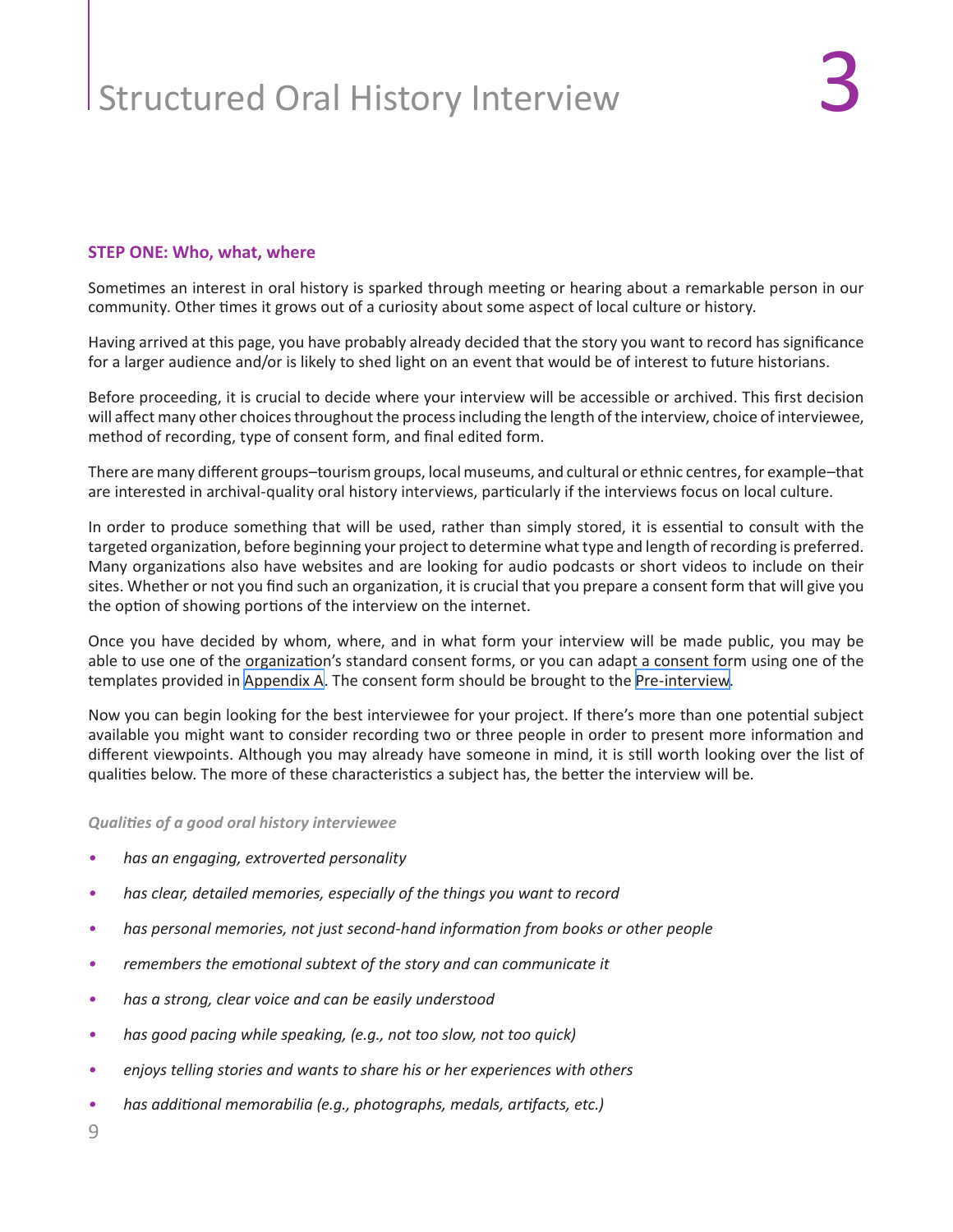#### <span id="page-8-0"></span>**STEP ONE: Who, what, where**

Sometimes an interest in oral history is sparked through meeting or hearing about a remarkable person in our community. Other times it grows out of a curiosity about some aspect of local culture or history.

Having arrived at this page, you have probably already decided that the story you want to record has significance for a larger audience and/or is likely to shed light on an event that would be of interest to future historians.

Before proceeding, it is crucial to decide where your interview will be accessible or archived. This first decision will affect many other choices throughout the process including the length of the interview, choice of interviewee, method of recording, type of consent form, and final edited form.

There are many different groups–tourism groups, local museums, and cultural or ethnic centres, for example–that are interested in archival-quality oral history interviews, particularly if the interviews focus on local culture.

In order to produce something that will be used, rather than simply stored, it is essential to consult with the targeted organization, before beginning your project to determine what type and length of recording is preferred. Many organizations also have websites and are looking for audio podcasts or short videos to include on their sites. Whether or not you find such an organization, it is crucial that you prepare a consent form that will give you the option of showing portions of the interview on the internet.

Once you have decided by whom, where, and in what form your interview will be made public, you may be able to use one of the organization's standard consent forms, or you can adapt a consent form using one of the templates provided in [Appendix A](#page-14-0). The consent form should be brought to the [Pre-interview.](#page-4-0)

Now you can begin looking for the best interviewee for your project. If there's more than one potential subject available you might want to consider recording two or three people in order to present more information and different viewpoints. Although you may already have someone in mind, it is still worth looking over the list of qualities below. The more of these characteristics a subject has, the better the interview will be.

*Qualities of a good oral history interviewee*

- *• has an engaging, extroverted personality*
- *• has clear, detailed memories, especially of the things you want to record*
- *• has personal memories, not just second-hand information from books or other people*
- *• remembers the emotional subtext of the story and can communicate it*
- *• has a strong, clear voice and can be easily understood*
- *• has good pacing while speaking, (e.g., not too slow, not too quick)*
- *• enjoys telling stories and wants to share his or her experiences with others*
- *• has additional memorabilia (e.g., photographs, medals, artifacts, etc.)*

9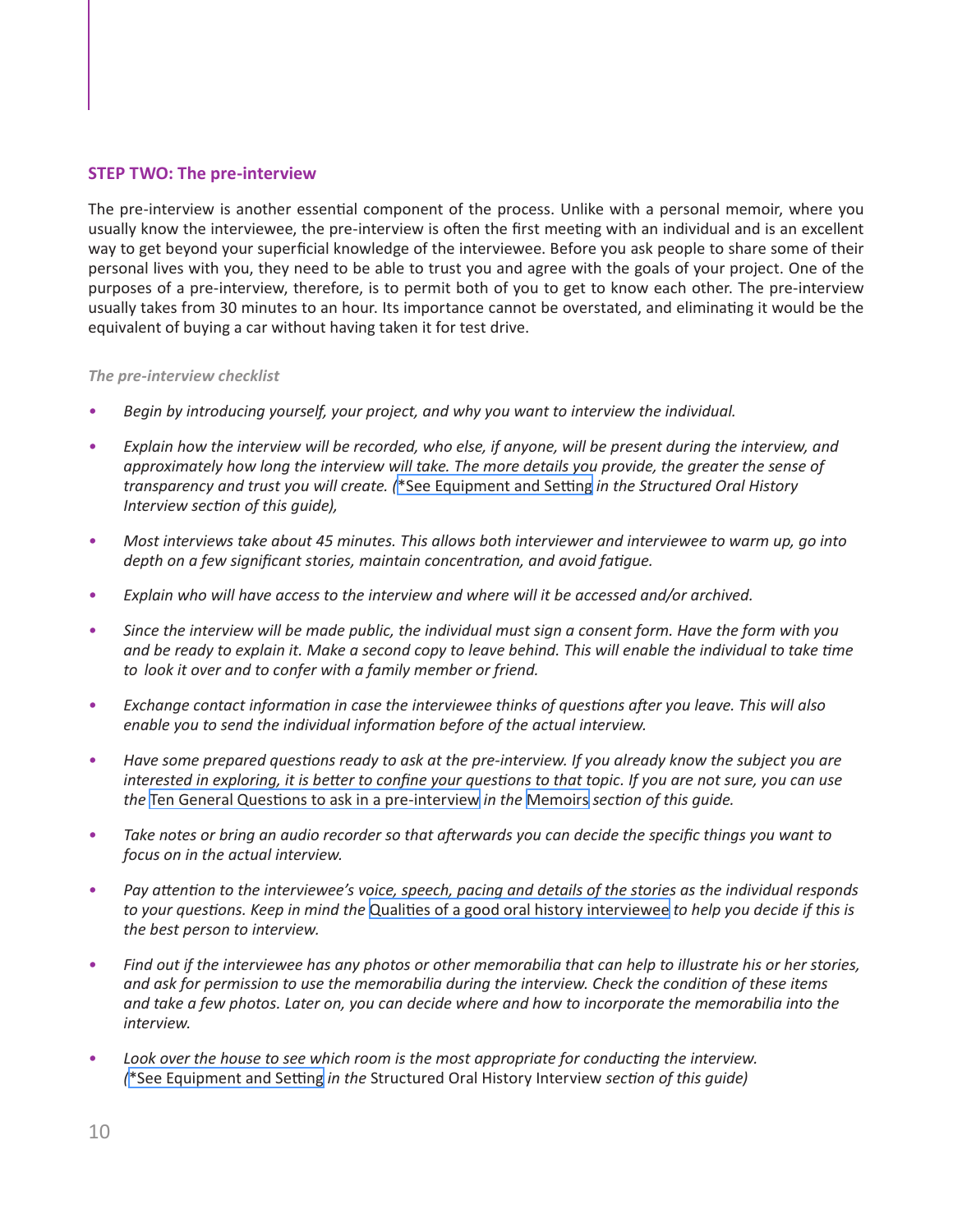#### <span id="page-9-0"></span>**STEP TWO: The pre-interview**

The pre-interview is another essential component of the process. Unlike with a personal memoir, where you usually know the interviewee, the pre-interview is often the first meeting with an individual and is an excellent way to get beyond your superficial knowledge of the interviewee. Before you ask people to share some of their personal lives with you, they need to be able to trust you and agree with the goals of your project. One of the purposes of a pre-interview, therefore, is to permit both of you to get to know each other. The pre-interview usually takes from 30 minutes to an hour. Its importance cannot be overstated, and eliminating it would be the equivalent of buying a car without having taken it for test drive.

#### *The pre-interview checklist*

- *• Begin by introducing yourself, your project, and why you want to interview the individual.*
- Explain how the interview will be recorded, who else, if anyone, will be present during the interview, and  *approximately how long the interview will take. The more details you provide, the greater the sense of transparency and trust you will create. (*[\\*See Equipment and Setting](#page-11-0) *in the Structured Oral History Interview section of this guide),*
- Most interviews take about 45 minutes. This allows both interviewer and interviewee to warm up, go into  *depth on a few significant stories, maintain concentration, and avoid fatigue.*
- *• Explain who will have access to the interview and where will it be accessed and/or archived.*
- Since the interview will be made public, the individual must sign a consent form. Have the form with you and be ready to explain it. Make a second copy to leave behind. This will enable the individual to take time *to look it over and to confer with a family member or friend.*
- *• Exchange contact information in case the interviewee thinks of questions after you leave. This will also enable you to send the individual information before of the actual interview.*
- Have some prepared questions ready to ask at the pre-interview. If you already know the subject you are interested in exploring, it is better to confine your questions to that topic. If you are not sure, you can use *the* [Ten General Questions to ask in a pre-intervie](#page-5-0)w *in the* [Memoirs](#page-3-0) *section of this guide.*
- Take notes or bring an audio recorder so that afterwards you can decide the specific things you want to *focus on in the actual interview.*
- Pay attention to the interviewee's voice, speech, pacing and details of the stories as the individual responds  *to your questions. Keep in mind the* [Qualities of a good oral history interviewe](#page-8-0)e *to help you decide if this is the best person to interview.*
- Find out if the interviewee has any photos or other memorabilia that can help to illustrate his or her stories,  *and ask for permission to use the memorabilia during the interview. Check the condition of these items* and take a few photos. Later on, you can decide where and how to incorporate the memorabilia into the *interview.*
- *• Look over the house to see which room is the most appropriate for conducting the interview. (*[\\*See Equipment and Setting](#page-11-0) *in the* Structured Oral History Interview *section of this guide)*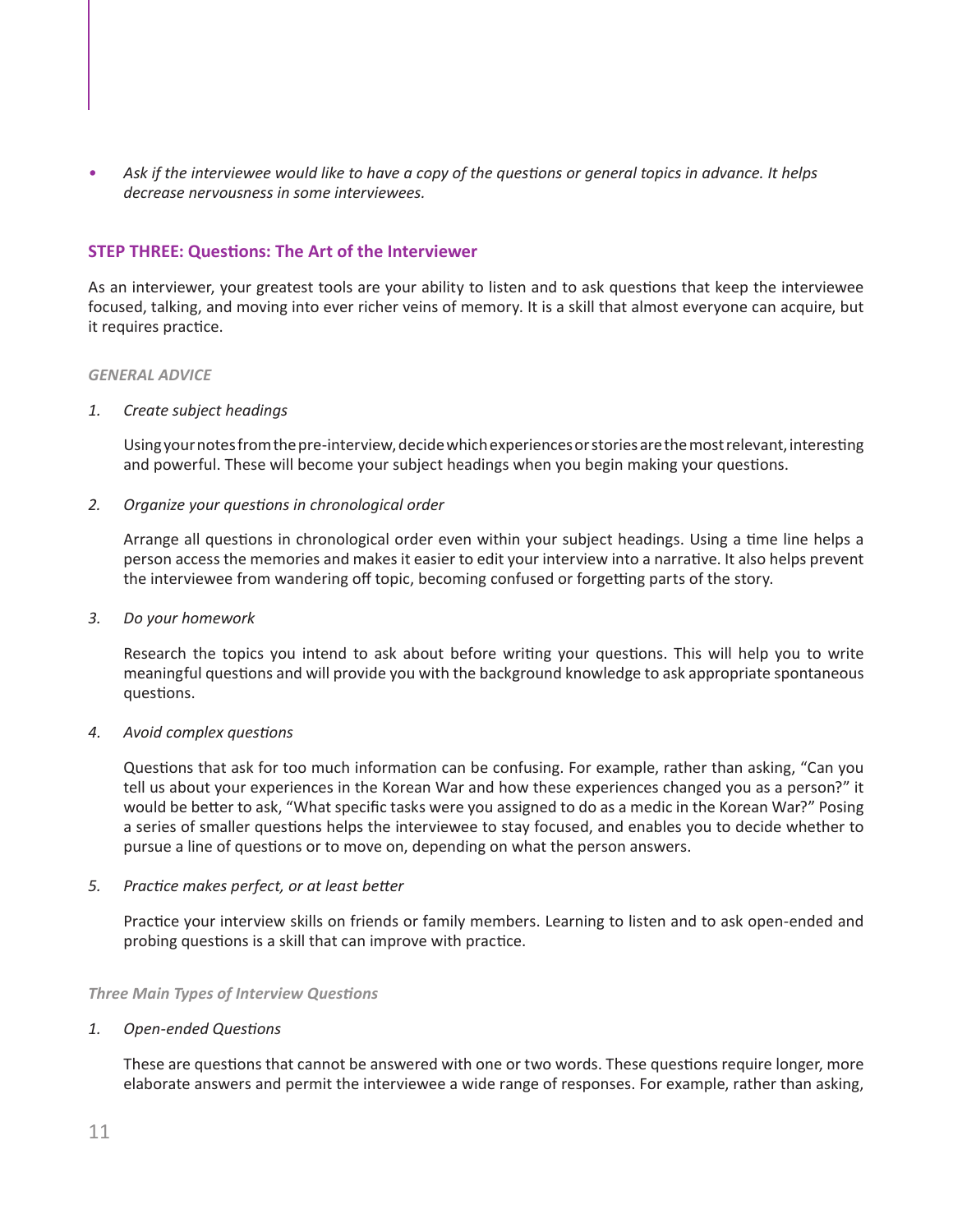<span id="page-10-0"></span>• Ask if the interviewee would like to have a copy of the questions or general topics in advance. It helps *decrease nervousness in some interviewees.* 

#### **STEP THREE: Questions: The Art of the Interviewer**

As an interviewer, your greatest tools are your ability to listen and to ask questions that keep the interviewee focused, talking, and moving into ever richer veins of memory. It is a skill that almost everyone can acquire, but it requires practice.

#### *GENERAL ADVICE*

#### *1. Create subject headings*

Using your notes from the pre-interview, decide which experiences or stories are the most relevant, interesting and powerful. These will become your subject headings when you begin making your questions.

#### *2. Organize your questions in chronological order*

Arrange all questions in chronological order even within your subject headings. Using a time line helps a person access the memories and makes it easier to edit your interview into a narrative. It also helps prevent the interviewee from wandering off topic, becoming confused or forgetting parts of the story.

#### *3. Do your homework*

Research the topics you intend to ask about before writing your questions. This will help you to write meaningful questions and will provide you with the background knowledge to ask appropriate spontaneous questions.

#### *4. Avoid complex questions*

Questions that ask for too much information can be confusing. For example, rather than asking, "Can you tell us about your experiences in the Korean War and how these experiences changed you as a person?" it would be better to ask, "What specific tasks were you assigned to do as a medic in the Korean War?" Posing a series of smaller questions helps the interviewee to stay focused, and enables you to decide whether to pursue a line of questions or to move on, depending on what the person answers.

#### *5. Practice makes perfect, or at least better*

Practice your interview skills on friends or family members. Learning to listen and to ask open-ended and probing questions is a skill that can improve with practice.

#### *Three Main Types of Interview Questions*

#### *1. Open-ended Questions*

These are questions that cannot be answered with one or two words. These questions require longer, more elaborate answers and permit the interviewee a wide range of responses. For example, rather than asking,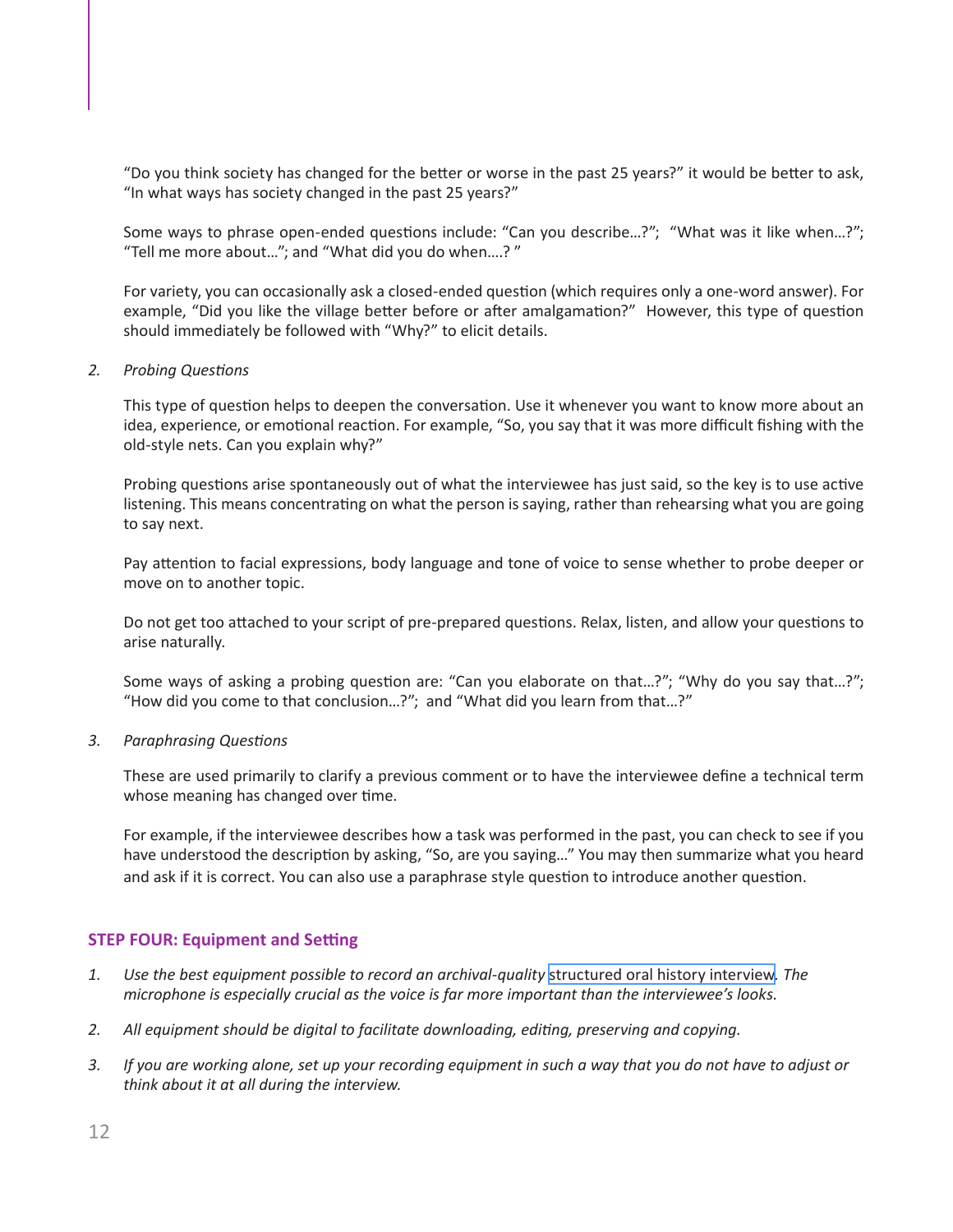<span id="page-11-0"></span>"Do you think society has changed for the better or worse in the past 25 years?" it would be better to ask, "In what ways has society changed in the past 25 years?"

Some ways to phrase open-ended questions include: "Can you describe…?"; "What was it like when…?"; "Tell me more about…"; and "What did you do when….? "

For variety, you can occasionally ask a closed-ended question (which requires only a one-word answer). For example, "Did you like the village better before or after amalgamation?" However, this type of question should immediately be followed with "Why?" to elicit details.

#### *2. Probing Questions*

This type of question helps to deepen the conversation. Use it whenever you want to know more about an idea, experience, or emotional reaction. For example, "So, you say that it was more difficult fishing with the old-style nets. Can you explain why?"

Probing questions arise spontaneously out of what the interviewee has just said, so the key is to use active listening. This means concentrating on what the person is saying, rather than rehearsing what you are going to say next.

Pay attention to facial expressions, body language and tone of voice to sense whether to probe deeper or move on to another topic.

Do not get too attached to your script of pre-prepared questions. Relax, listen, and allow your questions to arise naturally.

Some ways of asking a probing question are: "Can you elaborate on that…?"; "Why do you say that…?"; "How did you come to that conclusion…?"; and "What did you learn from that…?"

#### *3. Paraphrasing Questions*

These are used primarily to clarify a previous comment or to have the interviewee define a technical term whose meaning has changed over time.

For example, if the interviewee describes how a task was performed in the past, you can check to see if you have understood the description by asking, "So, are you saying…" You may then summarize what you heard and ask if it is correct. You can also use a paraphrase style question to introduce another question.

#### **STEP FOUR: Equipment and Setting**

- *1. Use the best equipment possible to record an archival-quality* [structured oral history interview](#page-8-0)*. The microphone is especially crucial as the voice is far more important than the interviewee's looks.*
- *2. All equipment should be digital to facilitate downloading, editing, preserving and copying.*
- 3. If you are working alone, set up your recording equipment in such a way that you do not have to adjust or *think about it at all during the interview.*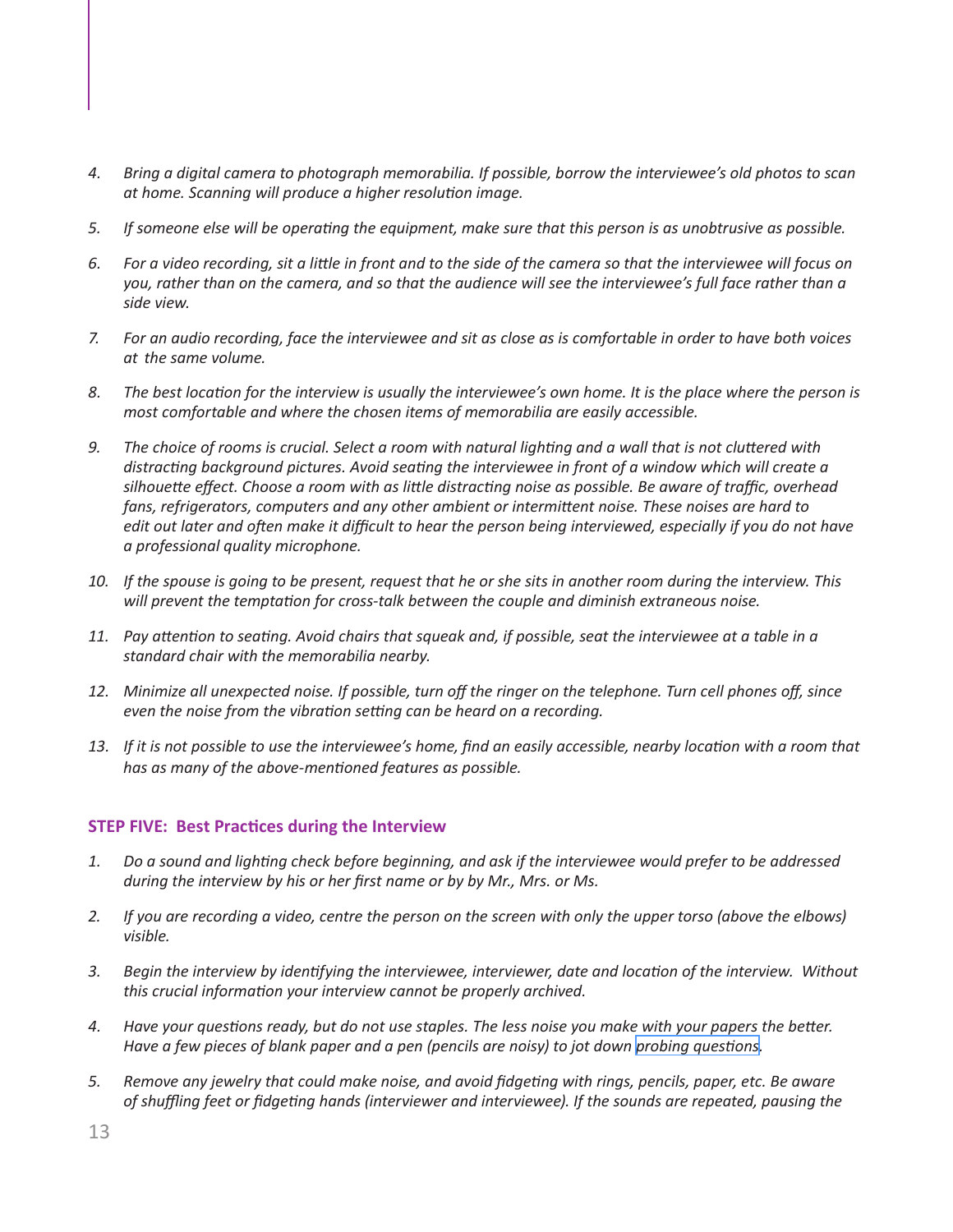- <span id="page-12-0"></span>*4. Bring a digital camera to photograph memorabilia. If possible, borrow the interviewee's old photos to scan at home. Scanning will produce a higher resolution image.*
- 5. If someone else will be operating the equipment, make sure that this person is as unobtrusive as possible.
- 6. For a video recording, sit a little in front and to the side of the camera so that the interviewee will focus on you, rather than on the camera, and so that the audience will see the interviewee's full face rather than a *side view.*
- 7. For an audio recording, face the interviewee and sit as close as is comfortable in order to have both voices *at the same volume.*
- 8. The best location for the interview is usually the interviewee's own home. It is the place where the person is *most comfortable and where the chosen items of memorabilia are easily accessible.*
- 9. The choice of rooms is crucial. Select a room with natural lighting and a wall that is not cluttered with  *distracting background pictures. Avoid seating the interviewee in front of a window which will create a* silhouette effect. Choose a room with as little distracting noise as possible. Be aware of traffic, overhead  *fans, refrigerators, computers and any other ambient or intermittent noise. These noises are hard to*  edit out later and often make it difficult to hear the person being interviewed, especially if you do not have *a professional quality microphone.*
- 10. If the spouse is going to be present, request that he or she sits in another room during the interview. This  *will prevent the temptation for cross-talk between the couple and diminish extraneous noise.*
- 11. Pay attention to seating. Avoid chairs that squeak and, if possible, seat the interviewee at a table in a *standard chair with the memorabilia nearby.*
- 12. Minimize all unexpected noise. If possible, turn off the ringer on the telephone. Turn cell phones off, since  *even the noise from the vibration setting can be heard on a recording.*
- 13. If it is not possible to use the interviewee's home, find an easily accessible, nearby location with a room that  *has as many of the above-mentioned features as possible.*

#### **STEP FIVE: Best Practices during the Interview**

- 1. Do a sound and lighting check before beginning, and ask if the interviewee would prefer to be addressed  *during the interview by his or her first name or by by Mr., Mrs. or Ms.*
- 2. If you are recording a video, centre the person on the screen with only the upper torso (above the elbows) *visible.*
- *3. Begin the interview by identifying the interviewee, interviewer, date and location of the interview. Without this crucial information your interview cannot be properly archived.*
- 4. Have your questions ready, but do not use staples. The less noise you make with your papers the better. Have a few pieces of blank paper and a pen (pencils are noisy) to jot down probing [question](#page-11-0)s.
- 5. Remove any jewelry that could make noise, and avoid fidgeting with rings, pencils, paper, etc. Be aware  *of shuffling feet or fidgeting hands (interviewer and interviewee). If the sounds are repeated, pausing the*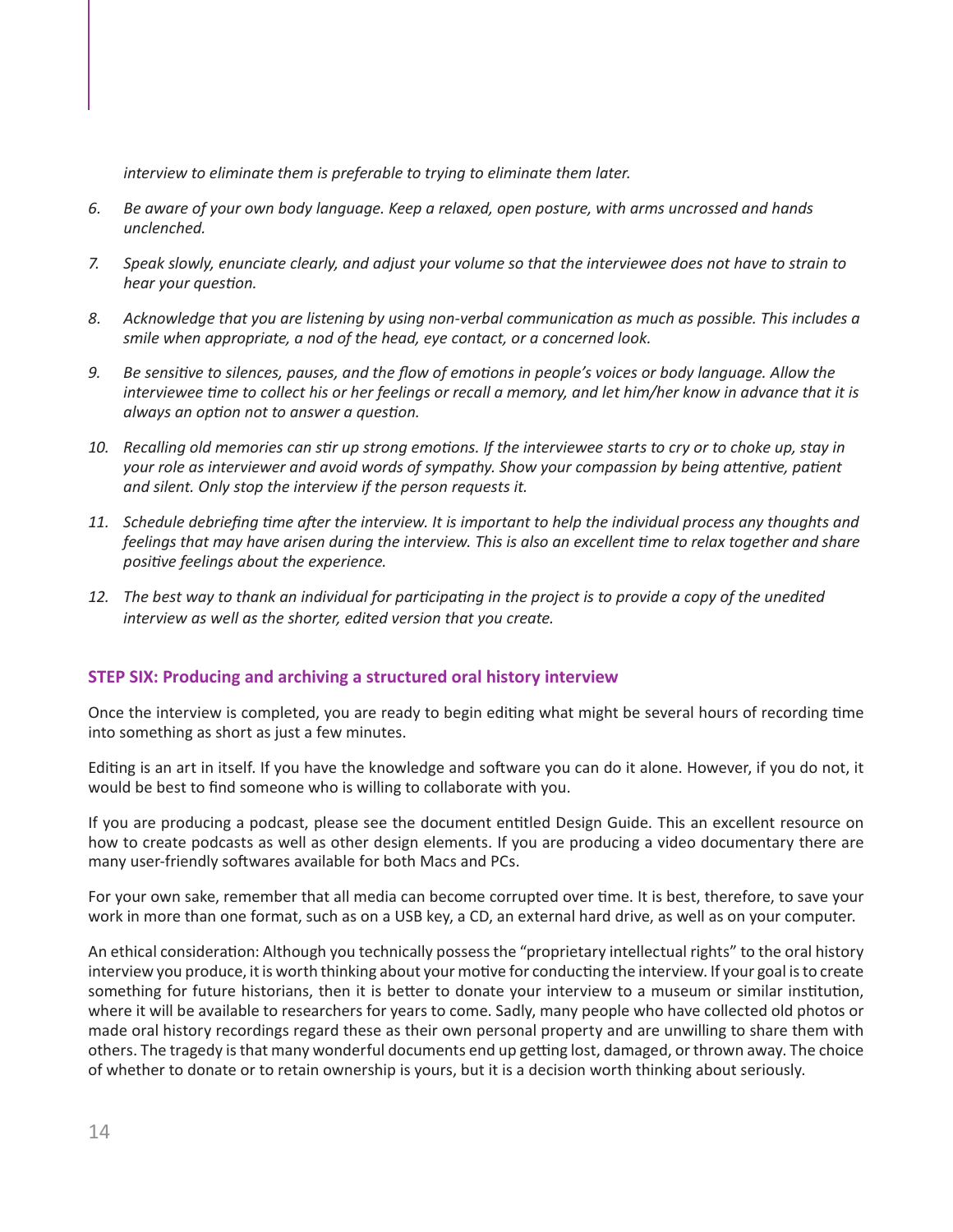<span id="page-13-0"></span>*interview to eliminate them is preferable to trying to eliminate them later.*

- 6. Be aware of your own body language. Keep a relaxed, open posture, with arms uncrossed and hands *unclenched.*
- 7. Speak slowly, enunciate clearly, and adjust your volume so that the interviewee does not have to strain to  *hear your question.*
- 8. Acknowledge that you are listening by using non-verbal communication as much as possible. This includes a  *smile when appropriate, a nod of the head, eye contact, or a concerned look.*
- 9. Be sensitive to silences, pauses, and the flow of emotions in people's voices or body language. Allow the interviewee time to collect his or her feelings or recall a memory, and let him/her know in advance that it is  *always an option not to answer a question.*
- 10. Recalling old memories can stir up strong emotions. If the interviewee starts to cry or to choke up, stay in  *your role as interviewer and avoid words of sympathy. Show your compassion by being attentive, patient and silent. Only stop the interview if the person requests it.*
- 11. Schedule debriefing time after the interview. It is important to help the individual process any thoughts and feelings that may have arisen during the interview. This is also an excellent time to relax together and share  *positive feelings about the experience.*
- 12. The best way to thank an individual for participating in the project is to provide a copy of the unedited  *interview as well as the shorter, edited version that you create.*

#### **STEP SIX: Producing and archiving a structured oral history interview**

Once the interview is completed, you are ready to begin editing what might be several hours of recording time into something as short as just a few minutes.

Editing is an art in itself. If you have the knowledge and software you can do it alone. However, if you do not, it would be best to find someone who is willing to collaborate with you.

If you are producing a podcast, please see the document entitled Design Guide. This an excellent resource on how to create podcasts as well as other design elements. If you are producing a video documentary there are many user-friendly softwares available for both Macs and PCs.

For your own sake, remember that all media can become corrupted over time. It is best, therefore, to save your work in more than one format, such as on a USB key, a CD, an external hard drive, as well as on your computer.

An ethical consideration: Although you technically possess the "proprietary intellectual rights" to the oral history interview you produce, it is worth thinking about your motive for conducting the interview. If your goal is to create something for future historians, then it is better to donate your interview to a museum or similar institution, where it will be available to researchers for years to come. Sadly, many people who have collected old photos or made oral history recordings regard these as their own personal property and are unwilling to share them with others. The tragedy is that many wonderful documents end up getting lost, damaged, or thrown away. The choice of whether to donate or to retain ownership is yours, but it is a decision worth thinking about seriously.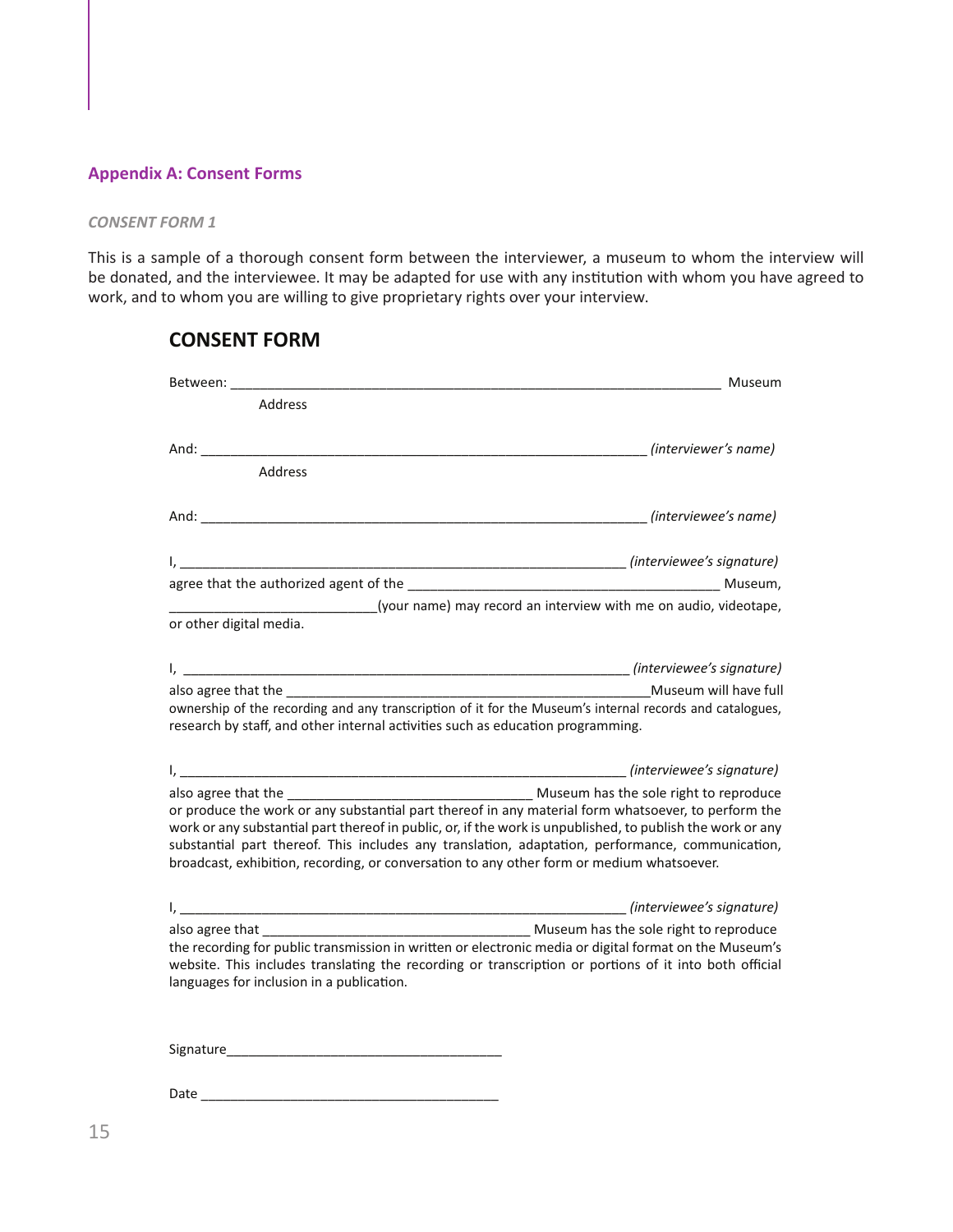#### <span id="page-14-0"></span>**Appendix A: Consent Forms**

#### *CONSENT FORM 1*

This is a sample of a thorough consent form between the interviewer, a museum to whom the interview will be donated, and the interviewee. It may be adapted for use with any institution with whom you have agreed to work, and to whom you are willing to give proprietary rights over your interview.

| Between:<br>Museum                                                                                                                                                                                                                                                                                                                                                                                                                  |  |
|-------------------------------------------------------------------------------------------------------------------------------------------------------------------------------------------------------------------------------------------------------------------------------------------------------------------------------------------------------------------------------------------------------------------------------------|--|
| Address                                                                                                                                                                                                                                                                                                                                                                                                                             |  |
| And: <i>(interviewer's name)</i><br><b>Address</b>                                                                                                                                                                                                                                                                                                                                                                                  |  |
| (interviewee's name)                                                                                                                                                                                                                                                                                                                                                                                                                |  |
| (your name) may record an interview with me on audio, videotape,<br>or other digital media.                                                                                                                                                                                                                                                                                                                                         |  |
| also agree that the <b>the set of the set of the set of the set of the set of the set of the set of the set of the set of the set of the set of the set of the set of the set of the set of the set of the set of the set of the</b><br>ownership of the recording and any transcription of it for the Museum's internal records and catalogues,<br>research by staff, and other internal activities such as education programming. |  |
| or produce the work or any substantial part thereof in any material form whatsoever, to perform the<br>work or any substantial part thereof in public, or, if the work is unpublished, to publish the work or any<br>substantial part thereof. This includes any translation, adaptation, performance, communication,<br>broadcast, exhibition, recording, or conversation to any other form or medium whatsoever.                  |  |
| the recording for public transmission in written or electronic media or digital format on the Museum's<br>website. This includes translating the recording or transcription or portions of it into both official<br>languages for inclusion in a publication.                                                                                                                                                                       |  |
| Signature and the state of the state of the state of the state of the state of the state of the state of the state of the state of the state of the state of the state of the state of the state of the state of the state of                                                                                                                                                                                                       |  |

### **CONSENT FORM**

Date \_\_\_\_\_\_\_\_\_\_\_\_\_\_\_\_\_\_\_\_\_\_\_\_\_\_\_\_\_\_\_\_\_\_\_\_\_\_\_\_